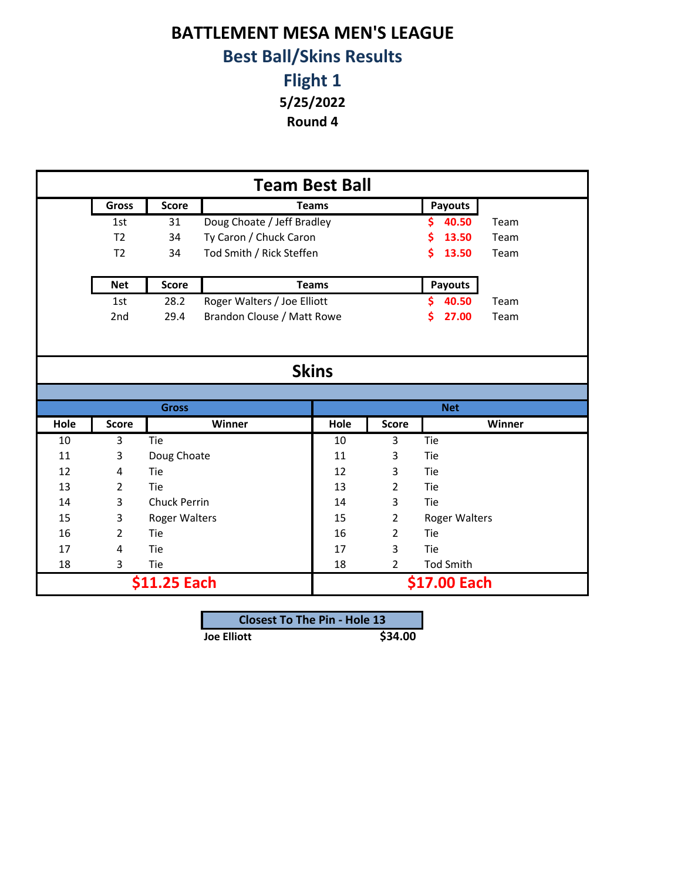## **BATTLEMENT MESA MEN'S LEAGUE Best Ball/Skins Results**

**Flight 1**

**5/25/2022**

**Round 4**

| <b>Team Best Ball</b> |                |               |                             |      |                |                  |      |  |
|-----------------------|----------------|---------------|-----------------------------|------|----------------|------------------|------|--|
|                       | <b>Gross</b>   | <b>Score</b>  | <b>Teams</b>                |      |                | Payouts          |      |  |
|                       | 1st            | 31            | Doug Choate / Jeff Bradley  |      |                | 40.50            | Team |  |
|                       | T <sub>2</sub> | 34            | Ty Caron / Chuck Caron      |      |                | 13.50<br>Ś       | Team |  |
|                       | T <sub>2</sub> | 34            | Tod Smith / Rick Steffen    |      |                | \$<br>13.50      | Team |  |
|                       |                |               |                             |      |                |                  |      |  |
|                       | <b>Net</b>     | <b>Score</b>  | <b>Teams</b>                |      |                | <b>Payouts</b>   |      |  |
|                       | 1st            | 28.2          | Roger Walters / Joe Elliott |      |                | 40.50<br>Ś.      | Team |  |
|                       | 2nd            | 29.4          | Brandon Clouse / Matt Rowe  |      |                | 27.00<br>S.      | Team |  |
|                       |                |               |                             |      |                |                  |      |  |
|                       |                |               |                             |      |                |                  |      |  |
| <b>Skins</b>          |                |               |                             |      |                |                  |      |  |
|                       |                |               |                             |      |                |                  |      |  |
|                       | <b>Gross</b>   |               |                             |      |                | <b>Net</b>       |      |  |
| Hole                  | <b>Score</b>   |               | Winner                      | Hole | <b>Score</b>   | Winner           |      |  |
| 10                    | 3              | Tie           |                             | 10   | 3              | Tie              |      |  |
| 11                    | 3              | Doug Choate   |                             | 11   | 3              | Tie              |      |  |
| 12                    | 4              | Tie           |                             | 12   | 3              | Tie              |      |  |
| 13                    | $\overline{2}$ | Tie           |                             | 13   | $\overline{2}$ | Tie              |      |  |
| 14                    | 3              | Chuck Perrin  |                             | 14   | 3              | Tie              |      |  |
| 15                    | 3              | Roger Walters |                             | 15   | $\overline{2}$ | Roger Walters    |      |  |
| 16                    | $\overline{2}$ | Tie           |                             | 16   | $\overline{2}$ | Tie              |      |  |
| 17                    | 4              | Tie           |                             | 17   | 3              | Tie              |      |  |
| 18                    | 3              | Tie           |                             | 18   | $\overline{2}$ | <b>Tod Smith</b> |      |  |
|                       | \$11.25 Each   |               |                             |      | \$17.00 Each   |                  |      |  |
|                       |                |               |                             |      |                |                  |      |  |

| <b>Closest To The Pin - Hole 13</b> |         |
|-------------------------------------|---------|
| <b>Joe Elliott</b>                  | \$34.00 |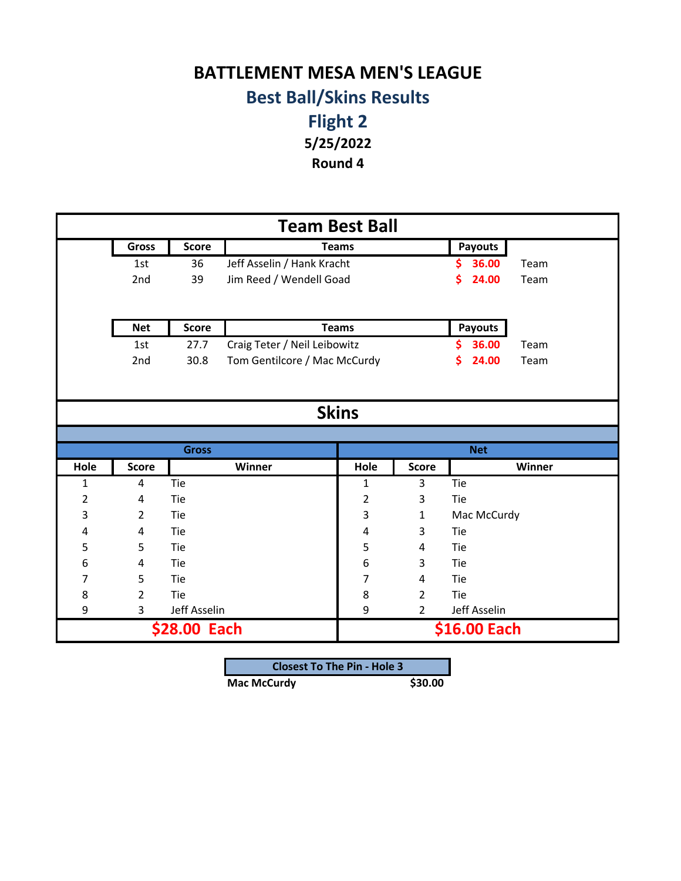## **BATTLEMENT MESA MEN'S LEAGUE Best Ball/Skins Results**

**Flight 2 5/25/2022 Round 4**

**Gross** Score **Payouts Payouts** 1st 36 Jeff Asselin / Hank Kracht **\$ 36.00** Team 2nd 39 Jim Reed / Wendell Goad **\$ 24.00** Team **Net Score Payouts** 1st 27.7 Craig Teter / Neil Leibowitz **\$ 36.00** Team 2nd 30.8 Tom Gentilcore / Mac McCurdy **\$ 24.00** Team **Hole Score Hole Score** 1 4 Tie 1 3 Tie 2 4 Tie 12 3 Tie 3 2 Tie 1 3 1 Mac McCurdy 4 4 Tie 14 4 3 Tie 5 5 Tie 15 4 Tie 6 4 Tie 6 3 Tie 7 5 Tie 17 4 Tie 8 2 Tie 19 1 8 2 Tie 9 3 Jeff Asselin 9 2 Jeff Asselin **Skins Team Best Ball Teams Teams Gross Net Winner Winner \$28.00 Each \$16.00 Each**

| <b>Closest To The Pin - Hole 3</b> |         |  |  |  |  |
|------------------------------------|---------|--|--|--|--|
| <b>Mac McCurdy</b>                 | \$30.00 |  |  |  |  |